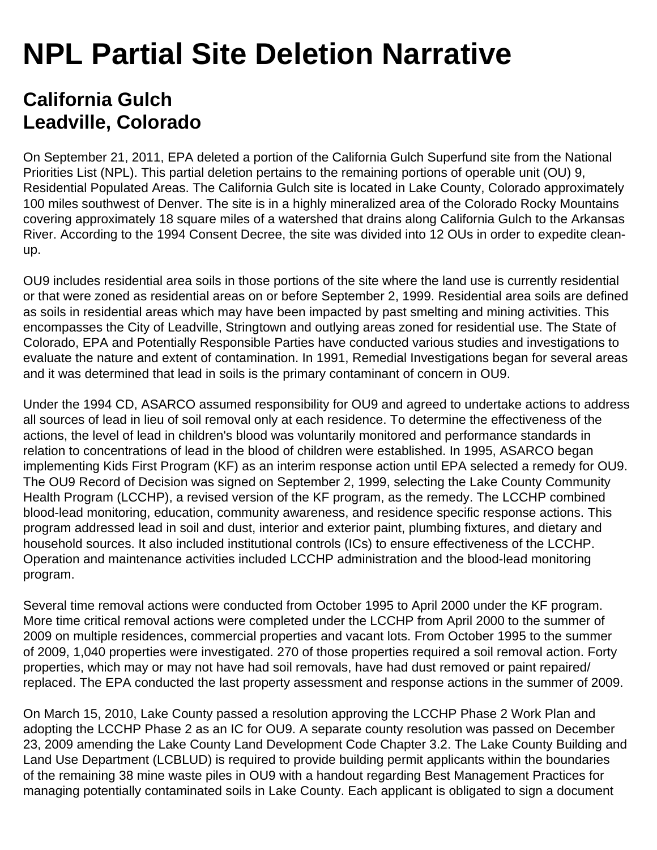## **NPL Partial Site Deletion Narrative**

## **California Gulch Leadville, Colorado**

On September 21, 2011, EPA deleted a portion of the California Gulch Superfund site from the National Priorities List (NPL). This partial deletion pertains to the remaining portions of operable unit (OU) 9, Residential Populated Areas. The California Gulch site is located in Lake County, Colorado approximately 100 miles southwest of Denver. The site is in a highly mineralized area of the Colorado Rocky Mountains covering approximately 18 square miles of a watershed that drains along California Gulch to the Arkansas River. According to the 1994 Consent Decree, the site was divided into 12 OUs in order to expedite cleanup.

OU9 includes residential area soils in those portions of the site where the land use is currently residential or that were zoned as residential areas on or before September 2, 1999. Residential area soils are defined as soils in residential areas which may have been impacted by past smelting and mining activities. This encompasses the City of Leadville, Stringtown and outlying areas zoned for residential use. The State of Colorado, EPA and Potentially Responsible Parties have conducted various studies and investigations to evaluate the nature and extent of contamination. In 1991, Remedial Investigations began for several areas and it was determined that lead in soils is the primary contaminant of concern in OU9.

Under the 1994 CD, ASARCO assumed responsibility for OU9 and agreed to undertake actions to address all sources of lead in lieu of soil removal only at each residence. To determine the effectiveness of the actions, the level of lead in children's blood was voluntarily monitored and performance standards in relation to concentrations of lead in the blood of children were established. In 1995, ASARCO began implementing Kids First Program (KF) as an interim response action until EPA selected a remedy for OU9. The OU9 Record of Decision was signed on September 2, 1999, selecting the Lake County Community Health Program (LCCHP), a revised version of the KF program, as the remedy. The LCCHP combined blood-lead monitoring, education, community awareness, and residence specific response actions. This program addressed lead in soil and dust, interior and exterior paint, plumbing fixtures, and dietary and household sources. It also included institutional controls (ICs) to ensure effectiveness of the LCCHP. Operation and maintenance activities included LCCHP administration and the blood-lead monitoring program.

Several time removal actions were conducted from October 1995 to April 2000 under the KF program. More time critical removal actions were completed under the LCCHP from April 2000 to the summer of 2009 on multiple residences, commercial properties and vacant lots. From October 1995 to the summer of 2009, 1,040 properties were investigated. 270 of those properties required a soil removal action. Forty properties, which may or may not have had soil removals, have had dust removed or paint repaired/ replaced. The EPA conducted the last property assessment and response actions in the summer of 2009.

On March 15, 2010, Lake County passed a resolution approving the LCCHP Phase 2 Work Plan and adopting the LCCHP Phase 2 as an IC for OU9. A separate county resolution was passed on December 23, 2009 amending the Lake County Land Development Code Chapter 3.2. The Lake County Building and Land Use Department (LCBLUD) is required to provide building permit applicants within the boundaries of the remaining 38 mine waste piles in OU9 with a handout regarding Best Management Practices for managing potentially contaminated soils in Lake County. Each applicant is obligated to sign a document